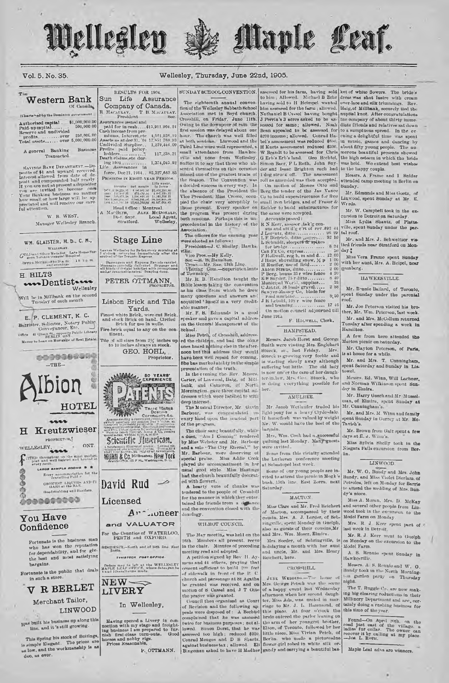

Assurances issued and

**Stage Line** 

Passengers and Express Parcels on<br>Manufacture of the Sailvers! Baggag<br>and at the of traight bandles with promy<br>and at reasonable rates. Draying dome

PETER OTTMANN

Lishon Brick and Tile

Yards. Finest white Brick, wire-cut Brick<br>and stock Brick on hand. Circled<br>Brick for use in wells.

Fire-brick equal to any on the con-

In Wellesley.

Having opened a Livery in connection with my stage and freight-ing business I am prepared to furnish first-class turn-outs. Good horses and nobby rigs.<br>Process and the furnish first-class turn-outs. Good horses and nobby r

tinent

ves Wellsslay for Badensvery morning at<br>clock returning (mmeliately after the<br>val of the Totonto Express







## Wellesley, Thursday, June 22nd, 1905.

Vol. 5. No. 35.

#### SUNDAY SCHOOL CONVENTION. RESULTS FOR 1904.

Of Canada (Charte-addy the Domin  ${\bf \small \begin{array}{c} {\bf \small \textbf{Authorized capital.}} \quad \quad 0.0000000 \\ {\bf \small \textbf{Pald}.\textbf{up} } {\bf capital.} \quad \quad 0.0000000 \\ {\bf \small \textbf{Red}.\textbf{up} } {\bf can} \quad {\bf null valid} \\ {\bf new error and undivided} \quad \quad 0.000000 \\ {\bf \small \textbf{Total} } {\bf new} \quad \quad 0.000000000 \\ {\bf Total} \quad {\bf new} \quad \quad 0.0000000000 \\ \end{array}}$ 

**Western Bank** 

A general Banking Rosinoss Transacted.

SAVING BASIS DEPARTMENT .--Dopesite of \$1 and upward recovered.<br>Interest allowed from date of the definition present and compounded half yearly<br>pesit and compounded half yearly if you are univised to become one<br>of the var ing 1904 .............<br>Life Assurances in ful attention.

> W. B. WEST. Manager Wellesley Branch.

## W.M. GLAISTER, M.D., C. M.,

**WELLERLEY** GOLD and Silver Medalist Late House Sur-Orvice Horiza $-8$  to 10 a.m.  $-11-2$  is m.

**H. HILTS** www.Dentist Wellesley

Will be in Millbank on the second Tuesday of each month

E. P. CLEMENT, K. C. Burrister, Solicitor, Notary Public Conveyancer, Etc. Conveynment, Efc. \_\_\_\_\_\_\_<br>Office \_41 Queen St., opposite Public Library<br>Money to Loan on Mortgage of Real Estate



Merchant Tailor, LINWOOD

Has built his business up along this line, and it 's still growing.

This Spring his stock of Suitings is simply Elegant. The prices are used ow, and the workmanship is as duo, as ever.

Sun Life Assurance The eighteenth annual conver Company of Canada. The expense<br>in abund the Wellseley Sabbath School<br>Association met in Boyd charch,<br>Crosshill, on Friday, Jane 11th,<br>Owing to the downpour of rain the<br>first session was delayed about one<br>hour. The charch was well filled R MACALLAY, T B. MACALLAY Assummers using that  $\Gamma$ ,  $\Gamma$ ,  $\Gamma$ ,  $\Gamma$ ,  $\Gamma$ ,  $\Gamma$ ,  $\Gamma$ ,  $\Gamma$ ,  $\Gamma$ ,  $\Gamma$ ,  $\Gamma$ ,  $\Gamma$ ,  $\Gamma$ ,  $\Gamma$ ,  $\Gamma$ ,  $\Gamma$ ,  $\Gamma$ ,  $\Gamma$ ,  $\Gamma$ ,  $\Gamma$ ,  $\Gamma$ ,  $\Gamma$ ,  $\Gamma$ ,  $\Gamma$ ,  $\Gamma$ ,  $\Gamma$ ,  $\Gamma$ ,  $\Gamma$ ,  $\Gamma$ ,  $\Gamma$ ,  $\Gamma$ ,  $\Gamma$ ,  $\Gamma$ ,  $\$ small attendance from Hawkes-1,374,045.92 Suffice it to say that those who absented themselves on this occasion force, Dec 21, 1904., 85,327,662.85 PROGRESS IN EIGHT-YEAR PERIODS.  $\begin{tabular}{l|c|c|c|c|c} \hline \textbf{R} \textbf{A} \textbf{B} \textbf{B} \textbf{B} \textbf{B} \textbf{C} \textbf{B} \textbf{B} \textbf{B} \textbf{B} \textbf{B} \textbf{B} \textbf{B} \textbf{B} \textbf{B} \textbf{B} \textbf{B} \textbf{B} \textbf{B} \textbf{B} \textbf{B} \textbf{B} \textbf{B} \textbf{B} \textbf{B} \textbf{B} \textbf{B} \textbf{B} \textbf{B} \textbf{B} \textbf{B} \textbf{B} \$ National Office: Montront.<br>
Head Office: Montront.<br>
A MacBern, Alex McDosath,<br>
Dist. Sppt. Local Agent,<br>
Stratford. Wellesley. the program was present during the same were accepted.<br>both sessions. Perhaps this is un- Accounts passed:

both sessions. Perhaps this is unsecciation. The officers for the ensuing year The officers for the ensuing year<br>were elected as follows:<br>President—J. C. Shelley, Hawks-<br>Wilco President—J. C. Shelley, Hawks-<br>Wico President-My Roll, The Sac --H. Bi Hamilton.<br>Testing Connection of Township,<br>Minimagn Co

Mr. R. B. Hamilton taught the

Bible lesson taking the convention<br>as his class from which he drew many questions and answers and acquitted 'imself in a very credit-

able manner.<br>
Mr. F. B. Edmunds is a good<br>
speaker and gave a capital address<br>
on the General Management of the School.<br>Miss Petel, of Crosshill, address

ed the children, and had the older<br>ones heard nothing else in the after-<br>noon but this address they would have been well repaid for coming.<br>She has marked ability in the simple sentation of the truth.

In the evening the Rev. Me In the overing oder and Santa of Mill-<br>bank, and Gameron, of North<br>Mornington, gave three capital addresses which were listened to with deep interest.

The Musical Director, Mr. Gavin Barbour, was congratulated on of the program,

The choir sang beautifully, while a duet, "Am I Coming" rendered<br>by Miss Webster and Mr. Barbour<br>and a solo "The City Eternal," by Mr. Barbour, were deserving of special praise. Miss Addie Cook played the accompaniment in her usual good style. Miss Hastings had the church beautifully decorated with flowers.

A hearty vote of thanks wa tendered to the people of Crosshill<br>for the manner in which they enter. tained the friends from a detance

#### WILMOT COUNCIL

The May meeting washeld on the 26th. Mombers all present, reeve in the chair. Minutes of preceding meeting read and adopted.<br>A petition signed by Rov H. Ay.

mens and 44 others, praying that of sidewalk in front of the P. C.<br>church and parsonage at St Agatha be granted was received, and on

stage and freight. [We's for business purpose; notal: [10] are not ner youngest urother, properties to the properties of the metric of the control of the control of the control of the control of the control of the control

to him; Allowed. Michael B Zehr<br>having sold to H Heimpel wanted him assessed for the farm; allowed. Haig, of Millbank, securely tied the Nathaniel B Cassel having bought nuntial knot. After congratulations J Perrin's 3 acres asked to be as-Owe<br>sum, on Francy, sum and the sessed for same; allowed to be used to complete<br>the downpoint of rain the sessed for same; allowed. Nothing the heaven<br>on the distribution of Bean appealed to be assessed for hour. The char W Brandt to be assessed for Chris G Erb's Erb's land. Geo Bechtel, Simon Baer, P L Roth, John Snymissed one of the greatest treats of 1 dog struck of. The assessment the Season. The Convention was roll as amended was then accepted, a decided success in every way. In On motion of Messrs Otto and succession of the President the Berg the tender of the Jan Vance<br>the absence of the President the Berg the tender of the Jan Vance pied the chair very acceptibly to small from bridges, and of Fraser & those present. Every speaker on Eichler to build substructures for

Accounts passed:

Accounts passed<br>
R N feer, assesser, tak'g cen-<br>
R Sass and att'd g e'rt of rev. 292<br>
J Lorentz, duto<br>
L E Dietrich, ditto<br>
L'E Dietrich, ditto<br>
L'E dietrich, ditto<br>
Cor bendan.<br>
Cor bendan.  $0639$ <br> $0210$ 

Lectural state of the second of the second of the second of the second of the second of the second of the second state of the second state of the second state of the second of the second of the second state of the second m  $\theta$  $12$  $\ddot{u}$  $\theta_1^*$ 50

June 19th F. HOLWELL, Clerk,

## HAMPSTEAD.

Messrs. Jacob Horst and George Smith were visiting Mrs. Englehart Stueck, sr., last Friday.<br>Stueck is growing very feeble Mrs  $45$ is wasting slowly away although<br>suffering but little. The old lady is now under the care of her daugh ter-in-law, Mrs. Goo. Stucek, who<br>is doing everything possible for her.

### AMULREE.

## Mr. Jacob Wetlaufer traded his light pony for a heavy Clyde-dale.<br>If horseftesh was valued by weight

Mr. W. would have the best of the harmin.

Mrs. Wm. Cook had a snocessful quilting last Monday. Many guests<br>were invited.

Some from this vicinity attended the Lutheran conference meeting at Schastopol last week.

Some of our young people are in-<br>vited to attend the picnic in Mogk bush, 15th line, East Zorra, next Saturday.

#### MACTON.

Miss Clare and Mr. Fred Reichart of Macton, accompanied by their cousin, Mrs. A. J. Lorder, of Sebringville, spent Monday in Guelph, also as guests of their cousins, Mr. and Mrs. Wm. Moser, Elmira.

Mrs. Soeder, of Schringville, in holidaying a month with her aunt and uncle, Mr. and Mrs. Henry Repebert, here.

## CROSSHILL.

JUNE WEDDING.-The home of Mrs. George Petsch was the be granted was received, and on Mrs. George Petsch was the scene motion of 8 Cassel and J T Otto of a happy event has Wednesday the prayer was granted.<br>
Council then organized as Court ter, Mas Ada, was united in mar-<br>
of

assessed for his farm, having sold ket of white flowers. The bride's to him; Allowed. Michael B Zehr dress was shot lustre with eroam dress was shot lustre with cream the company of about thirty imme. diate friends and relatives a t down to a sumptuous spread. In the evcontract a delightful time was spent only a delightful time was spent in music, games and dancing by about fifty young people. The unthe high esteem in which the bride was held. We extend best wishes to the happy couple.

Messrs. A. Frame and 1. Snider<br>attended camp meeting in Berlin on Sunday

Mr. Edmunds and Miss Goetz, of Linwood, spent Sunday at Mr. E. We rds.

Mr. W. Campbell took in the excursion to Detroit on Saturday.<br>Miss. Lydia. Shantz, of Platts.

ville, spent Sunday under the partal roof.

Mr. and Mrs. J. Schweitzer visited friends near Stratford on Mon- $\text{day}$ .

Miss Vera Frame spent Sunday<br>with her aunt, Mrs. A. Heipel, near gamberg.

### HAWKESVILLE.

Mr. Bennic Ballard, of Toronto, spent Sunday under the parental roof.

Mr. Joe Peterson visited his bro-Mr. and Mrs. McCollum returned<br>Tuesday after spending a week in Hamilton.

A few from here attended the Macton picnic on Saturday.

Mr. Clayton Peterson, of Paris, is at home for a while.

Mr. and Mrs. T. Cunningham, spent Saturday and Sunday in Lis-.<br>wel.

Messrs, Ed. Winn, Will Lachner,<br>und Norman Wilkinson spont Sunday in Elmira.

Mr. Harry Gonchand Mr Mussel-<br>man, of Elmira, spent Sunday at<br>Mr. Cunningham's.

Mr. and Mrs. M. Winn and family pent Sunday in Gorrey at Mr. Tavish's.

Mr. Brown from Galt spent a few lays at E. J. Whais

Miss Sylvia Shelly took in the Niagara Falls excursion from Berlin.

### LINWOOD

Mr. W. O. Bundy and Mrs. John Bundy, and Miss Violet Dierlam, of Petrolea, left on Monday for Barrie to attend the wedding of Mrs. Bandy's niece

Miss A. Moran, Mrs. D. McKay Miss A. Moran, AIN. D. MCKay<br>and soveral other people from Lin-<br>wood took in the excursion to the Model Farm on Monday.

Mrs. R. J. Kerr spent part of ast week in Detroit.

Mr. R. J. Kerr went to Guolph in Monday on the excursion to the

Model Farm. A. S. Rennio spent Sunday in Hawkesville.

Messrs. A. S. Rennio and W. O.

Bundy took in the North Morning-<br>ton garden party on Thursday

The T. Ruggle Co, are now mak-The T. reugger co., are now making big clearing reductions in their<br>Millinery Department and are , certainly doing a rushing husiness for this time of the year.

Found-On April 20th, on the road just east of the village. a ladies' fur collar. The owner can recover it by calling at my place.

Maple Leai advs are winners.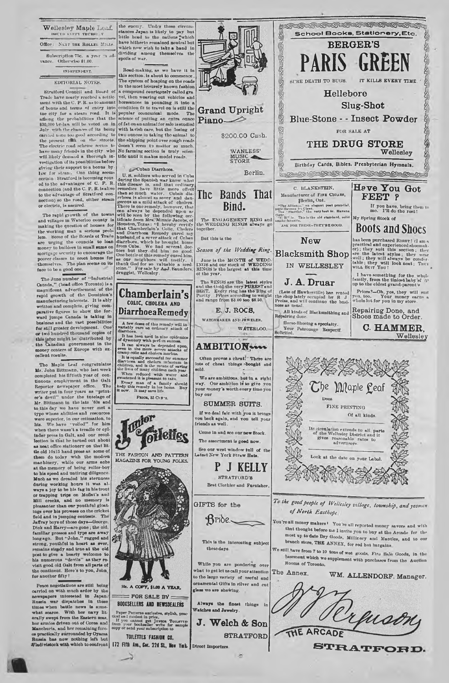Wellesley Maple Leaf. Office: NEXT THE ROLLER MILLS

Subscription 75c. a year "a ad-<br>nee. Otherwise \$1.00.

INDEPENDENT

## EDITORIAL NOTES

Stratford Council and Board Trade have nearly reached a sottle-<br>ment with the C. P. R. as to amount of bonus and terms of entry into<br>the city for a steam road. It is the city for a steam road. It is among 430,000 by-law will be voted on in<br>430,000 by-law will be voted on in<br>duly with the chances of its being the present till to a the streets.<br>The electric road scheme seems to have many friends in the city who will likely demand a thorough in- tific until it makes model roads vestigation of its possibilities before giving their support to a bonus by law for steam. One thing seem ortain: Struttoria secolariza prosessor<br>ed to the advantages of C. P. R. is alive<br>connection (and the C. P. R. is alive<br>to the advantage of Stratford con-<br>nection) so the road, ofther steam<br>or electric, is assured.

The rapid growth of the towns and villages in Waterloo county is<br>making the question of houses for the working man a serious prob-Some of the Boards of Trade lem acal. Some or the neares or trans<br>are urging the councils to lean<br>money to builders in small sums on money to bunders in small sums on mortgage security to encourage the poorer classes to error homes for themselves. The plan seems on its face to be a good one.

The June number of "Industrial Canada," (head office Toronto) is a<br>magnificent advertisement of the rapid growth of the Dominion's manufacturing interests. It is ably written and complete, giving com written and complete, giving countries and the formation of the state of the basic state of the value of the state of the state of the value of the state of the state of the state of the state of the state of the state of or we attend the distributed by<br>the danadian government in the<br>money centers of Europe with excellent rosults.

The Maple Leaf congratulates Mr. John Bittmann, who last week completed his fiftieth year of con-Reporter newspaper office. The writer put in four years as "print-<br>er's devil" under the tatelage of Mr. Bittmann in the late '60s and to this day we have never met a typo whose abilities and resources vere superior, in our estimation, to<br>tis. We have "rolled" for him his. ms. We have "roned" to him<br>when there wasn't a treadle or cyl-<br>inder press in Galt, and our recol-<br>lection is that he turned out about lection is that he turned out about<br>as neat office stationery on that lit-<br>it is old 10x15 hand press as some of<br>them do today with the modern<br>machinery, while our arms ache<br>at the memory of being roller-boy<br>to his speed Mooh as we dreaded his sternances<br>during working hours it was al-<br>ways a joy to be his fag in his trout<br>or trapping trips on Mofiat's and<br>Mil creeks, and no memory is<br>pleasanter than our youthful gloatain where then our youthful gloat-<br>ings over his provess on the oricket<br>ting over his provess on the oricket<br>deland in jumping contests. The<br>Dick and Harry—are gone; the old,<br>tamiliar presess and type are away<br>long ago. Bu his numerous "devils" as they<br>visit good old Galt from all parts the continent. Here's to you, John for another fifty!

Peson negotiations are still being<br>carried on with much ardor by the<br>newspapers interested in Japan.<br>Russia war dispatches in these<br>times when battle nows is somewhat soarce. With her navy lit-<br>erally swept from the Eastern seas,<br>her armies driven out of Corea and Manchuria, and her remaining forces practically surrounded by Oyama Russia has now nothing left but<br>Wladivistook with which to confront the enemy. Under those circumstances Japan is likely to pay but<br>little head to the nations which have hitherto remained noutral but dividing among themselves the

Road-making, as we have it in<br>this section, is about to commence. The system of heaping on the roads<br>in the most leisurely known fashion a compound courteously called gra col, then wearing out volicles and<br>horseshoes in pounding it into a<br>condition fit to travel on is still the popular communical mode. The<br>science of putting an extra ounce<br>of fat on an animal for sale is studied with lavish care, but the losing of<br>two ounces in taking the animal to the shipping point over rough roads<br>doesn't seem to matter so much.<br>No farming section is truly seien-

#### Cuban Diarrhoes

Cuban Diarrhoea.<br>
Suban Diarrhoea.<br>
Suban Diarrhoea.<br>
U.S. soldiers who served in Cuban<br>
U.S. this disease is, and that ordinary, then so meades have the<br>
correct of the more offered in the precise is sublined to the corr

**Chamberlain's** 

COLIC, CHOLERA AND

**DiarrhoeaRemedy** 

A few doses of this remady will in-

When it has been metally considered in the optical<br>solution of dynamics of dynamics of dynamics and in the main system of<br>the second in the main system of the same of the system in the main<br> $\sigma$  second in the system of th

Paten, 85 Cr Stn.

THE PASHION AND PATTERN<br>MAGAZINE FOR YOUNG FOLKS.

10c. A COPY, \$1.00 A YEAR

 $=$  FOR SALE BY  $=$ **BOOKSELLERS AND NEWSDEALERS** 

 $8.36$ 

ellec

mior



**Grand Upright** Piano<sup>2</sup> \$200.00 Cash.

WANLESS' MUSIC

# The Bands That Bind.

The ENGAGEMENT RING and<br>10 WEDDING RINGS always go .<br>مط

But this is the

Season of the Wedding Ring.

June is the MONTH of WEDD.<br>INGS and our stock of WEDDING<br>RINGS is the largest at this time<br>of the year.

The RINGS are the latest styles<br>and the Gold the very PUREST and<br>BEST. Every ring has the Ring of<br>Purity. Prices according to weight<br>and range from \$3.00 too \$8.50.

E. J. ROCS, WATCHMAKER AND JEWELER. WATERLOO.

Often proves a cheat: 'There are ots of cheat things bought and ......<br>sold

We are ambitious, b ut in a right way. One ambition is to give you<br>your money's worth every time you<br>buy our

**SUMMER SUITS.** If we deal fair with you it brings vou back again, end vou tell your friends as well.

Come in and see our new Btock. The assortment is good now.

See our west window full of the Latest New York Straw Hats

P J KELLY **STRATEGRD'S** Best Clothier and Furnisher

 $\mathfrak{B}$ ride $\smile$ 

GIFTS for the

This is the interesting subject these days.

While you are pondering over what to get let us call your attention to the large variety of useful and ornamental Gifts in silver and cut glass we are showing

Always the finest things in Watches and Jewelry.

Paper Patterns anclusive, stylish, practical and modest in price,<br>If you cannot get Juston Toutarrap<br>from your bookseller write for aample<br>copy or send your subscription to J. Welch & Son **STRATFORD** 

TOILETTES FASHION CO. 172 Fifth Ave., Cor. 22d St., Now York. Direct Importors



renson ARCADE THE

STRATFORD.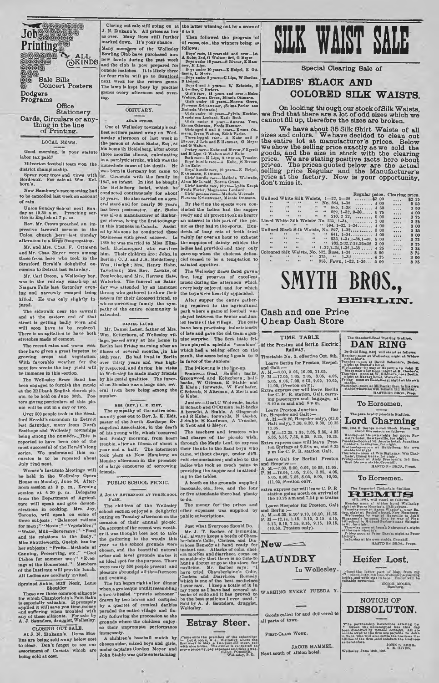

**Stationery Cards, Circulars or anything in the line of Printing.**

#### LOCAL NEW8.

Good morning, is your statute labor tax paid? Milverton football team won the

district championship.<br>
Spray your trees and vines with<br>
Bordeaux. For sale at Wm. Kel-<br>
born's.

Now Hamburg's raoo mooting had to be cancelled last week on account

of rain.

Union Snnday Sohool next Sun-day at 10.30 n.m. Preaching ser-vico in English at 7 p. m.

Rov. Mr. Crowe preached an im-<br>pressive farewell sermon in the<br>Union church here-last Sunday afternoon to a large congregation.

Mr. and Mrs. Chas. F. Ottmann and Mr. Chas. Meyer were among those from here who took in the Stratford Herald's delightful excursion to Detroit last Saturday.

Mr. Carl Green, a Wollesloy boy, was in the railway smash-up at<br>Niagara Falls last Saturday even-<br>ing and narrowly escaped being killed. He was only slightly injurod.

The sidewalk near the sawmill and at the eastern end of that stroot is getting badly worn and will soon have to bo replaced. Thore is an agitation to have both stretches made of cement.

The recent rains and warm weather have given a great impetus to<br>growing crops and vegetation.<br>With favorable weather for the noxt few weeks tho bay yield will be immense in this section.

The Wollesloy Brass Band has been engaged to furnish tho mnsic at tho Millbank English church pic-nic. to be hold on Jnno 30th. Pos-ters givtng particulars of this pic-nic will bo out in a day or two.

Ovor 800 people took in the Stratford Herald's oxenrsion to Detroit hist Saturday, mnny from North Easthope and Wellesley townships being among the number<sub>ra</sub>This is<br>reported to have been one of the<br>most snocossfnl of the Herald's long We understand this excursion is to bo repeated about

July 22nd next.<br>Women's Institute Meetings will Women's Institute Meetings will<br>be held in the Wellesley Opera<br>House on Monday, Jone 25, After-<br>noon session at 2 p. m., Evening<br>session at 6.30 p. m. Delogates<br>from the Department of Agricul-<br>tree will speak and give domo these subjects: "Balanced rations<br>for man :" "Meats :" "Vegetables :"<br>"Water, Milk—Beverages :" "Food and its relations to the Body." Miss Shuttleworth, Gnelph. has for her subjects: " Fruits— Methods of<br>Canning, Preserving, etc; " "Cool<br>Dishes for summor use; " " Evonings at the Homestead." Msmbers of the Institute will provido lunch. All Ladies are cordially invited.

## Sprained Ankle, Stiff Nock, Lame 8houlder.

These are three common silmonts<br>for which Chamberlain's Pain Balm<br>is sapeolally valuable. It promptly<br>applied it will save you time,<br>money and suffering when troubled with<br>any of these almonts. For sale by<br>A. J. Saundors,

CLOSING OUT SALE.

At J. N. Zinkann's. Dress Muslins are being sold away below cost to clear. Don't forget to see our sortment of Corsets which are being sold at oost.

Closing out sale still going on at **tho latter winning out by a scoro of** J. N. Zinkann's. All prices as low<br>as over. Many lines still further as over. Many lines still further marked down. It's yonr chance. Many members of the Wollesloy Bowling Club have purchased now bowls during the past week and the club is now prepared for<br>outside matches. It is likely three or four rinks will go to Stratford<br>next week for the return game. Tho lawn is kept bnay by practise games every afternoon and even-

OBITUARY. ADAM 8TEJS6.

gam<br>1ng.

One of Wellesley township's car-

licut settlers passed away on Wed-nesday afternoon of last week in the person of Adum Stelss, Esq., at his home ih Heidelberg, after about three months illness, cnlminating in a paralytic stroke, which was the immediate cause of his death. He was born in Germany but came to St. Clements with tho family in 1847, an infant. In 1856 he bbaght the Heidelberg hotel, which he conducted continuously for about 50 years. He also carried on a general store and for nearly 30 years lias been postmaster. Mr. Steiss was also a manufacturer of limbnr-ger cheese, being tho first to engage in this business in Canada. Assisted by his sons he conducted these businesses with great success. 1868 he was married to Miss Eliza-beth Huchnergard who survives him. Their children are: John, in Berlin ; O. J. and J.A., Heldelberg ; Wm., Guelph; Mrs, Henry Hahn,<br>Tavistock; Mrs. Rev. Zarnke, of<br>Pombroke, and Mrs. Herman Hats, Waterloo. The fnneral on Satur-day was attended by an immense throng who gathered to show their esteem for their deceased friend, to whoso sorrowing family tho sym-pathy of tho ontiru community is extended.

DANIEL LACEK.

Mr. Daniel Laner, father of Mrs. Wm. Keltcrborn, of Wellesley village, passed away at his .home in Berlin lost Friday merning after an illness of soveral months, in his bisseth year. Ho had lived in Berlin over thirty years and was high-<br>ly respected, and during his visite<br>by respected, and during his visite<br>to Wellesley he made many friends<br>by his genial eral from here being among the number.

MRS. (REV.) L. X. EIDT.

The sympathy of the entire com-mnnity goes out to Rov. L. K. Eidt, pastor of the North Easthope Evangelical Association, in the death of his young wife, which 'occurred last Friday morning, from heart<br>trouble, after an illness of about a<br>year and a half. The interment<br>took place at New Hamburg on<br>Monday afternoon in the presence of a largo concourse of sorrowing friends.

# PUBLIC SCHOOL PICNIC.

A JOLLY AFTERNOON AT THE SCHOOL PARK

The children of the Welle school section enjoyed a delightful onting on Tuosday afternoon on tho occasion of their annnal pic-nic.

On account of the recont wet weath-er it was thought best not to take the gathering to tho woods this year so tho school grounds woro chosen, and the beautiful natural<br>arbor and level grounds makes it or and level grounds makes it an ideal spot for tho purposo. Thore were nearly 500 pooplo present and ploasure aboundpd all the afternoon and evening.

The fun began right after din wlion.a grotesque ontflit resembling a two-w heeled " prairie schooner" drawn by two horses and occupied by a quartet of comical darkies<br>paraded the entire village and fin-<br>ally following the procession to the<br>grounds where the children enjoyeo thoir impromptu performance

immensely. A children's baseball match by chosen sides, mixed boys and girls, under captains Gordon Moyor and John Stahlo was quite entertaining

**6 to 2.** Then followed the program of of races, etc., the winners being as

Of moons, 6to, the winners being as<br>
follows:<br>
Show information of a control and over-let.<br>
Beys reco, 18 rears old and over-let.<br>
Rober 2nd, O Walton; grd, O Meyer, Elinger<br>
per ander 19 pears—E Heipel, E Oither and over

Girls' potatoe rsco----Malinda Wolwade.<br>Florance Krietsweiser, Minnie Ottmsnn.<br>By the time the sports were con-By the time the sports were con-<br>cluded the ladies had the supper ready and all present took os hearty nn interest In this part of tho picnic as they had in tho sports. Hundreds of busy wets of teeth tried<br>vaiuly for over an hour to exhaust the supplies of dainty edibles the ladies had provided and they only gave np when the choicest dclica-cief ceased to be a temptation to satiated appetites.

The Wellesley Brass Band gave a fine, long program of excelleut<br>music during the afternoon which everybody onjoyed and for which the boys were heartily applauded.

After sapper the entire gather-ing repaired to the agricultural park where a game of football was played between tho Senior and Junior teams of the village. The colts ve been practising industriously of late and gave the old teum a gen-<br>uine surprise. The fleet little fel-<br>lows played a spleddid ''combine'' which had a telling efToct on tho result, the score being 5 goals to 0 In favor of tho Juniors.

The following in the line-up.<br>
Seniors— Goal, Hamel; backs,<br>
Greenword and Keltcrborn; halt-<br>
hacks, W Ottman, E Stahle and<br>
E Klein; forwards. W Faulhafer,<br>
C Schnub, N Alteman, A Mertz and<br>
G Kube.

Juniors—Goal,C Woiwnde, backs<br>H Schaub and O Ottman ;lulf-backs<br>A Borscht. A Stahlo, A Gingerich<br>and R Kube; forwards, N Gusho,<br>J Stable, H Kaufman, A Trussler,<br>R Yent and G Meyer.

Tho teachers and trustees who<br>bad charge of the pic-nic wish,<br>through the Maple Leaf, to express their thanks to the Band boys came, without charge, under difficult circumstances; and also to the ladies who took so much pains in providing the snppor and in Attend-ing to the tables.

A booth on tho gronnds supplied lomonade, etc., free, and the four or five attendants there had plonty to do.

The money for the prizes and<br>other expenses was aupplied by was supplied by public subscriptions.

Just what Everyone Should Do.<br>
Mr. J. T. Barber, of Irvinuile,<br>
Mr. J. T. Barber, of Irvinuile,<br>
Ga, always kopps a bottlo of Cham-<br>
be-listing a Collo, Cholers and Dia-<br>
rehoses Remedy at hand ready for<br>
instant mea. Atta



Ame onto the premises of the subscriber of the solution<br>fracture is the set of the set of the set of the set in May, a two-par-old steer, red<br>with nice horne. The owner is requested to the symptom<br>prove property, pay aspea



**Special Clearing Sale of**

# LADIES' BLACK AND **COLORED SILK WAISTS.**

**On looking thi ough our stock of Silk Waists, we find that there are a lot of odd sizes which we cannot fill up, therefore the sizes are broken.**

We have about 35 Silk Shirt Waists of all<br>sizes and colors. We have decided to clean out<br>the entire lot at manufacturer's prices. Below<br>we show the selling price exactly as we sold the<br>goods, and the size in stock with the price. We are stating positive facts here about<br>prices. The prices quoted below are the actual<br>selling price Regular and the Manufacturer's<br>price at the factory. Now is your opportunity,<br>don't miss it.

|                      |           |                  |    |                                                 | Regular paice. Clearing price. |  |  |          |        |      |  |
|----------------------|-----------|------------------|----|-------------------------------------------------|--------------------------------|--|--|----------|--------|------|--|
|                      |           |                  |    | Unlined White Silk Walsts, 1-32, 1-38           | $\ldots \ldots$ 82 00          |  |  | 1.1.1    | \$2 25 |      |  |
| $\bullet \bullet$    | 44        | 64               |    | $\cdots$ No. 884, 1-36  4 00                    |                                |  |  |          |        | 2 50 |  |
| 44                   | 46        | 44               |    | $\cdots$ $\cdots$ 865, 1-38  450                |                                |  |  | .        |        | 3 50 |  |
| $\mathbf{F}$         | 4.0       | $\ddot{\bullet}$ |    | $\cdots$ $\cdots$ 629, 1-32, 2-38 5 75          |                                |  |  |          |        | 400  |  |
| 14                   | $\bullet$ | $\bullet\bullet$ |    | $\frac{1}{210}$ , $\frac{2}{32}$ ,  5 00        |                                |  |  | $\cdots$ |        | 3 75 |  |
|                      |           |                  |    | Lined White Silk Waists' No. 235, 1-34,  3 00   |                                |  |  | .        |        | 2.28 |  |
| $-14$                | 48        |                  |    | $\frac{1}{2}$ 594, 1-32, 1-34,  4 00            |                                |  |  |          |        | 300  |  |
|                      |           |                  |    | Unlined Black Silk Waists, No. 897, 1-32 3 00   |                                |  |  | $\cdots$ |        | 235  |  |
| 44                   | $+4$      |                  |    | $\cdots$ $\cdots$ 841, 1-34,  400               |                                |  |  |          |        | 300  |  |
| 44                   | 64        | 44               |    | $\cdots$ $\cdots$ 935, 1-34, 1-36, 1-40, 5 00   |                                |  |  | .        |        | 3 75 |  |
| 44                   | 46        | 48               |    | $\cdots$ $\cdots$ 933.2-32.2-34.36a38 3 00      |                                |  |  | 1.1.1    |        | 23   |  |
| $\bullet$            | 64        | 99               |    | $\cdots$ 1-32, 1-34, 1-36, 1-38,  425           |                                |  |  | .        |        | 324  |  |
|                      |           |                  |    | Coloured Silk Waists, No. 532, Rose, 1-36  5 00 |                                |  |  | .        |        | 3 75 |  |
| 64                   | 46        | 85               |    | $375,$ " $1-32$ 4 25                            |                                |  |  | $\cdots$ |        | 3 00 |  |
| $\ddot{\phantom{a}}$ | $\bullet$ | 66               | 46 | 883. Fawn, 1-33, 1-36 5 00                      |                                |  |  | $\cdots$ |        | 3 75 |  |

# **SMYTH BROS., B E R L I I V .**

# **Cash and one Pri«e Cheap Cash Store**

**TIME TABLE Of the Preston and Berlin Electric Railway.**

- Timetable No. 3, effective Oct. 6th. Leave Berlin for Preston, Hespel-<br>and Galt:-
- 
- and Gali  $:=$ <br>
and Gali  $:=$ <br>
P. M  $-12.05$ , 10.5, 10.5, 10.5, 4.05, 3.6, 4.05, 10.5, 10.5, 10.5, 5.6, 6.05, 7.05, 8.65, 9.05, 10.05, 11.05, (Preston only).<br>
Extra caprese car will leave Berlin<br>
for C. P. R. atation, Gali,
- Leave Preston Junction<br>
lin, Hespolor and Galt:—<br>
A. M.—(9.20, Hespeler only), (63.0<br>
Galt only), 7.30, 8.30, 9.30, 10.35
- 
- 11.35. P. M.—12,35. 1.35, 2.35, 3.35, 4.35 5.35, 6.35. 7.35, 8.35, 9.35, 10.35. Extra express cars will leave Pros-ton Springs at 9.08 a m, and 6.35 p m for C. P. R. station Galt.
- 
- 
- Leave Galt for Berlini Preston<br>
and Hespeler :--<br>
A. M.--7.00, 8.00, 0.05, 10 05, 11.05.<br>
P. M.--12.05, 1.05, 2.05, 3.05, 4.05,<br>
5.05, 6.05, 7.05, 8.05, 9.05, 10,05,<br>
(11.05, Preston only.
- extra express cor will leave C. P. R station going north on arrival of tho 10.25 a m and 7.14 p m trains Leavo Hespeler for Preston, Galt
- 
- and Berlin:— A. M.—6.35, 8.10' 9.10, 10.10, 11.35. P. M —12.14. 1.15. 2.15, 3.15, 4.15, 5.15, 9.15, 7.15, 8.15, 9.15, 10.15, (10.50, Preston only).



**In Wellesley.**

WASHING EVERY TUESDA Y.

Goods called for and delivered to all parts of town.

FIRST-CLASS WORK.

JACOB HAMMEL.

Next south of **Albion** hotel.

# **DAN RING**

The Standard-Bred Troitis

By Gold Ring, 2.131, will stand as follows:<br>Monday-heon at Packelay, and a follows:<br>Monday-heon at Packelay, and a following the state of the state<br>with the state of the state of the state of the state<br> $\mathbf{u}^{(0)}$  in the Ha s t in g s nuns.. Prop.

**To Horsemen.**

The pare bred C ydeedale Stallion. **Lord Charming**

ries, 754, 0, Sorbyn nodel Stock Horse will<br>be an interaction of the second state of the second state<br> $\mathbf{F}^{(n)}$  with the second state of the second state<br> $\mathbf{F}^{(n)}$  and the second state of the second state<br> $\mathbf{F}^{(n$ 

**To Horsemen.**

The Imported Clydesdale Stallion 475, 1187, will stand as follows:<br>
Monday noon at Albert and the Children of the Children of the Children of the Children of the Children of the Children of the Children of the Children of the Children of the Children of t

at Herman Sharts's.<br>• Piday noon at Peter Bast's; night at Pet<br>• Saturday at his own stable, Crossbill.<br>• HASTINGS BROS., Prope.

# **Heifer Lost.**

ielfar, red with star<br>|uitably rewarded. ENOCH MOSER,



The partnership heretofore existing be<br>
1 tween the undersigned has this day<br>
been disolved by mutual consent, All ac-<br>
counts oved to the firm are payable to John<br>
3. Zahr, who will also estile the business lin-<br>bilities at heretofore. JOHN S. ZEHR. A. K. GIVES, Wellesley. Jon\* Uth. 1906.